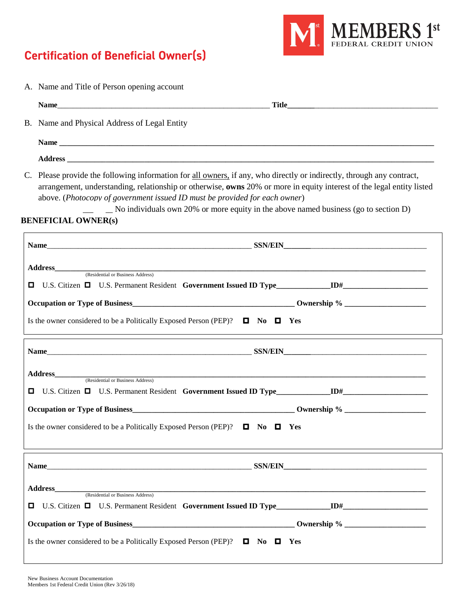

# **Certification of Beneficial Owner(s)**

A. Name and Title of Person opening account

|    | <b>Name</b>                                                                                                                                                                                                                                                                                                                                                                                                                                                  |  |
|----|--------------------------------------------------------------------------------------------------------------------------------------------------------------------------------------------------------------------------------------------------------------------------------------------------------------------------------------------------------------------------------------------------------------------------------------------------------------|--|
|    | B. Name and Physical Address of Legal Entity                                                                                                                                                                                                                                                                                                                                                                                                                 |  |
|    |                                                                                                                                                                                                                                                                                                                                                                                                                                                              |  |
|    |                                                                                                                                                                                                                                                                                                                                                                                                                                                              |  |
| C. | Please provide the following information for all owners, if any, who directly or indirectly, through any contract,<br>arrangement, understanding, relationship or otherwise, owns 20% or more in equity interest of the legal entity listed<br>above. (Photocopy of government issued ID must be provided for each owner)<br>$\_\_\_\_\_\$ No individuals own 20% or more equity in the above named business (go to section D)<br><b>BENEFICIAL OWNER(s)</b> |  |
|    |                                                                                                                                                                                                                                                                                                                                                                                                                                                              |  |
|    | Address<br>(Residential or Business Address)<br>Is the owner considered to be a Politically Exposed Person (PEP)? $\Box$ No $\Box$ Yes                                                                                                                                                                                                                                                                                                                       |  |
|    |                                                                                                                                                                                                                                                                                                                                                                                                                                                              |  |
| 0. | U.S. Citizen $\Box$ U.S. Permanent Resident Government Issued ID Type_____________D#__________________<br>Is the owner considered to be a Politically Exposed Person (PEP)? $\Box$ No $\Box$ Yes                                                                                                                                                                                                                                                             |  |
|    | <b>SSN/EIN</b> SSN/EIN<br><b>Name</b>                                                                                                                                                                                                                                                                                                                                                                                                                        |  |
| 0  | <b>Address</b><br>(Residential or Business Address)<br>U.S. Citizen $\Box$ U.S. Permanent Resident Government Issued ID Type_____________D#__________________                                                                                                                                                                                                                                                                                                |  |
|    | Is the owner considered to be a Politically Exposed Person (PEP)? $\Box$ No $\Box$ Yes                                                                                                                                                                                                                                                                                                                                                                       |  |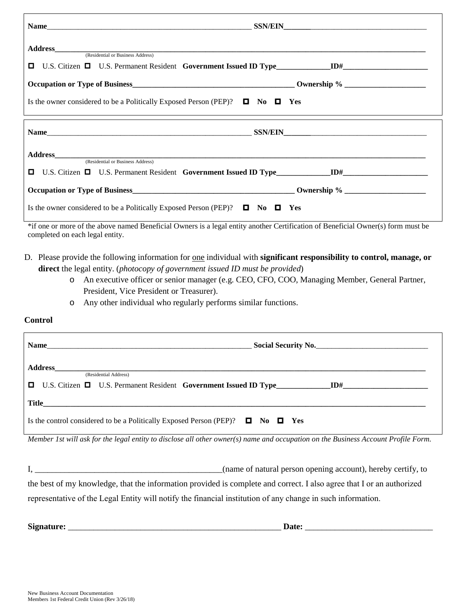| Name                                                                                   | SSN/EIN |  |  |  |
|----------------------------------------------------------------------------------------|---------|--|--|--|
|                                                                                        |         |  |  |  |
|                                                                                        |         |  |  |  |
| Is the owner considered to be a Politically Exposed Person (PEP)? $\Box$ No $\Box$ Yes |         |  |  |  |
|                                                                                        |         |  |  |  |
|                                                                                        |         |  |  |  |
| (Residential or Business Address)                                                      |         |  |  |  |
|                                                                                        |         |  |  |  |
|                                                                                        |         |  |  |  |

\*if one or more of the above named Beneficial Owners is a legal entity another Certification of Beneficial Owner(s) form must be completed on each legal entity.

- D. Please provide the following information for one individual with **significant responsibility to control, manage, or direct** the legal entity. (*photocopy of government issued ID must be provided*)
	- o An executive officer or senior manager (e.g. CEO, CFO, COO, Managing Member, General Partner, President, Vice President or Treasurer).
	- o Any other individual who regularly performs similar functions.

#### **Control**

| <b>Name</b>                                                                                                                                                     |                                                                                                     | Social Security No. |  |
|-----------------------------------------------------------------------------------------------------------------------------------------------------------------|-----------------------------------------------------------------------------------------------------|---------------------|--|
| <b>Address</b><br><u> 1980 - Jan Barnett, fransk konge en forsk politiker og det forskellige og det forskellige og det forskellige</u><br>(Residential Address) | □ U.S. Citizen □ U.S. Permanent Resident Government Issued ID Type_________________________________ |                     |  |
|                                                                                                                                                                 |                                                                                                     |                     |  |
|                                                                                                                                                                 | Is the control considered to be a Politically Exposed Person (PEP)? $\Box$ No $\Box$ Yes            |                     |  |

*Member 1st will ask for the legal entity to disclose all other owner(s) name and occupation on the Business Account Profile Form.*

I, the contract of natural person opening account), hereby certify, to the best of my knowledge, that the information provided is complete and correct. I also agree that I or an authorized representative of the Legal Entity will notify the financial institution of any change in such information.

| r.<br>Signature: | .<br>---<br>- |
|------------------|---------------|
|------------------|---------------|